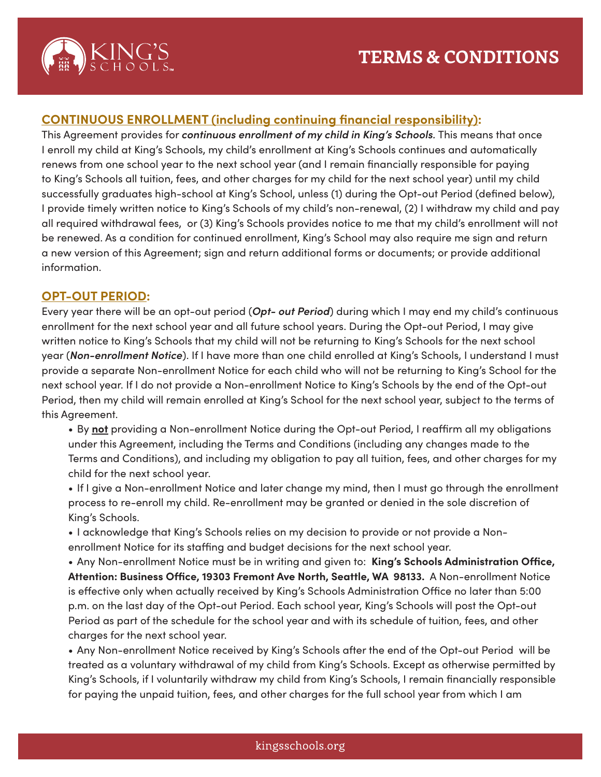

# **CONTINUOUS ENROLLMENT (including continuing financial responsibility):**

This Agreement provides for *continuous enrollment of my child in King's Schools.* This means that once I enroll my child at King's Schools, my child's enrollment at King's Schools continues and automatically renews from one school year to the next school year (and I remain financially responsible for paying to King's Schools all tuition, fees, and other charges for my child for the next school year) until my child successfully graduates high-school at King's School, unless (1) during the Opt-out Period (defined below), I provide timely written notice to King's Schools of my child's non-renewal, (2) I withdraw my child and pay all required withdrawal fees, or (3) King's Schools provides notice to me that my child's enrollment will not be renewed. As a condition for continued enrollment, King's School may also require me sign and return a new version of this Agreement; sign and return additional forms or documents; or provide additional information.

### **OPT-OUT PERIOD:**

Every year there will be an opt-out period (*Opt- out Period*) during which I may end my child's continuous enrollment for the next school year and all future school years. During the Opt-out Period, I may give written notice to King's Schools that my child will not be returning to King's Schools for the next school year (*Non-enrollment Notice*). If I have more than one child enrolled at King's Schools, I understand I must provide a separate Non-enrollment Notice for each child who will not be returning to King's School for the next school year. If I do not provide a Non-enrollment Notice to King's Schools by the end of the Opt-out Period, then my child will remain enrolled at King's School for the next school year, subject to the terms of this Agreement.

• By **not** providing a Non-enrollment Notice during the Opt-out Period, I reaffirm all my obligations under this Agreement, including the Terms and Conditions (including any changes made to the Terms and Conditions), and including my obligation to pay all tuition, fees, and other charges for my child for the next school year.

• If I give a Non-enrollment Notice and later change my mind, then I must go through the enrollment process to re-enroll my child. Re-enrollment may be granted or denied in the sole discretion of King's Schools.

• I acknowledge that King's Schools relies on my decision to provide or not provide a Nonenrollment Notice for its staffing and budget decisions for the next school year.

• Any Non-enrollment Notice must be in writing and given to: **King's Schools Administration Office, Attention: Business Office, 19303 Fremont Ave North, Seattle, WA 98133.** A Non-enrollment Notice is effective only when actually received by King's Schools Administration Office no later than 5:00 p.m. on the last day of the Opt-out Period. Each school year, King's Schools will post the Opt-out Period as part of the schedule for the school year and with its schedule of tuition, fees, and other charges for the next school year.

• Any Non-enrollment Notice received by King's Schools after the end of the Opt-out Period will be treated as a voluntary withdrawal of my child from King's Schools. Except as otherwise permitted by King's Schools, if I voluntarily withdraw my child from King's Schools, I remain financially responsible for paying the unpaid tuition, fees, and other charges for the full school year from which I am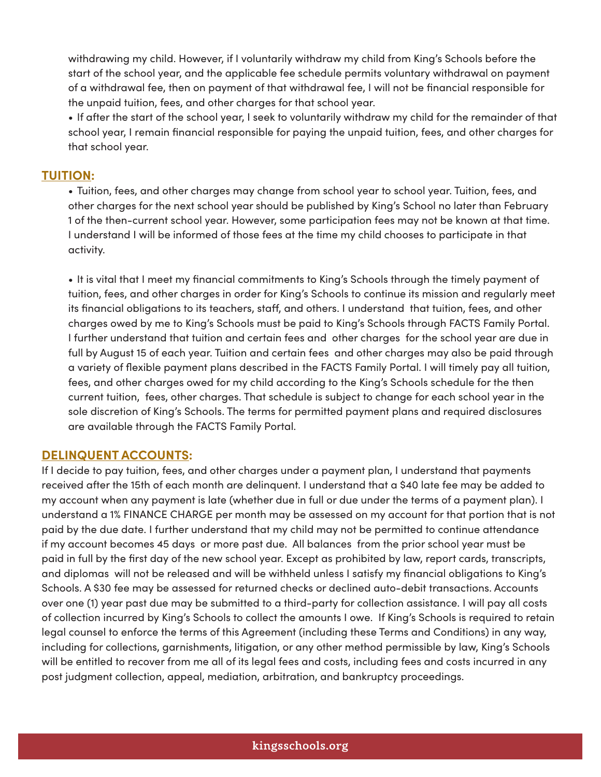withdrawing my child. However, if I voluntarily withdraw my child from King's Schools before the start of the school year, and the applicable fee schedule permits voluntary withdrawal on payment of a withdrawal fee, then on payment of that withdrawal fee, I will not be financial responsible for the unpaid tuition, fees, and other charges for that school year.

• If after the start of the school year, I seek to voluntarily withdraw my child for the remainder of that school year, I remain financial responsible for paying the unpaid tuition, fees, and other charges for that school year.

#### **TUITION:**

• Tuition, fees, and other charges may change from school year to school year. Tuition, fees, and other charges for the next school year should be published by King's School no later than February 1 of the then-current school year. However, some participation fees may not be known at that time. I understand I will be informed of those fees at the time my child chooses to participate in that activity.

• It is vital that I meet my financial commitments to King's Schools through the timely payment of tuition, fees, and other charges in order for King's Schools to continue its mission and regularly meet its financial obligations to its teachers, staff, and others. I understand that tuition, fees, and other charges owed by me to King's Schools must be paid to King's Schools through FACTS Family Portal. I further understand that tuition and certain fees and other charges for the school year are due in full by August 15 of each year. Tuition and certain fees and other charges may also be paid through a variety of flexible payment plans described in the FACTS Family Portal. I will timely pay all tuition, fees, and other charges owed for my child according to the King's Schools schedule for the then current tuition, fees, other charges. That schedule is subject to change for each school year in the sole discretion of King's Schools. The terms for permitted payment plans and required disclosures are available through the FACTS Family Portal.

#### **DELINQUENT ACCOUNTS:**

If I decide to pay tuition, fees, and other charges under a payment plan, I understand that payments received after the 15th of each month are delinquent. I understand that a \$40 late fee may be added to my account when any payment is late (whether due in full or due under the terms of a payment plan). I understand a 1% FINANCE CHARGE per month may be assessed on my account for that portion that is not paid by the due date. I further understand that my child may not be permitted to continue attendance if my account becomes 45 days or more past due. All balances from the prior school year must be paid in full by the first day of the new school year. Except as prohibited by law, report cards, transcripts, and diplomas will not be released and will be withheld unless I satisfy my financial obligations to King's Schools. A \$30 fee may be assessed for returned checks or declined auto-debit transactions. Accounts over one (1) year past due may be submitted to a third-party for collection assistance. I will pay all costs of collection incurred by King's Schools to collect the amounts I owe. If King's Schools is required to retain legal counsel to enforce the terms of this Agreement (including these Terms and Conditions) in any way, including for collections, garnishments, litigation, or any other method permissible by law, King's Schools will be entitled to recover from me all of its legal fees and costs, including fees and costs incurred in any post judgment collection, appeal, mediation, arbitration, and bankruptcy proceedings.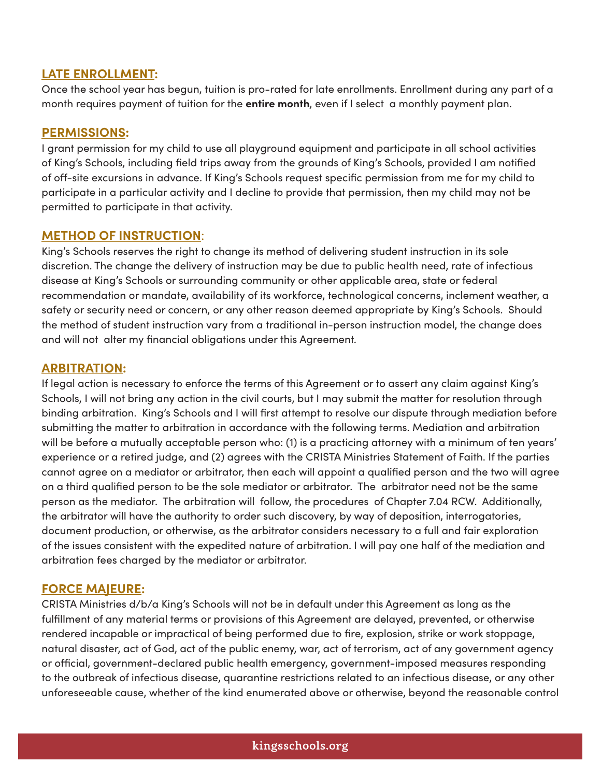# **LATE ENROLLMENT:**

Once the school year has begun, tuition is pro-rated for late enrollments. Enrollment during any part of a month requires payment of tuition for the **entire month**, even if I select a monthly payment plan.

# **PERMISSIONS:**

I grant permission for my child to use all playground equipment and participate in all school activities of King's Schools, including field trips away from the grounds of King's Schools, provided I am notified of off-site excursions in advance. If King's Schools request specific permission from me for my child to participate in a particular activity and I decline to provide that permission, then my child may not be permitted to participate in that activity.

# **METHOD OF INSTRUCTION**:

King's Schools reserves the right to change its method of delivering student instruction in its sole discretion. The change the delivery of instruction may be due to public health need, rate of infectious disease at King's Schools or surrounding community or other applicable area, state or federal recommendation or mandate, availability of its workforce, technological concerns, inclement weather, a safety or security need or concern, or any other reason deemed appropriate by King's Schools. Should the method of student instruction vary from a traditional in-person instruction model, the change does and will not alter my financial obligations under this Agreement.

# **ARBITRATION:**

If legal action is necessary to enforce the terms of this Agreement or to assert any claim against King's Schools, I will not bring any action in the civil courts, but I may submit the matter for resolution through binding arbitration. King's Schools and I will first attempt to resolve our dispute through mediation before submitting the matter to arbitration in accordance with the following terms. Mediation and arbitration will be before a mutually acceptable person who: (1) is a practicing attorney with a minimum of ten years' experience or a retired judge, and (2) agrees with the CRISTA Ministries Statement of Faith. If the parties cannot agree on a mediator or arbitrator, then each will appoint a qualified person and the two will agree on a third qualified person to be the sole mediator or arbitrator. The arbitrator need not be the same person as the mediator. The arbitration will follow, the procedures of Chapter 7.04 RCW. Additionally, the arbitrator will have the authority to order such discovery, by way of deposition, interrogatories, document production, or otherwise, as the arbitrator considers necessary to a full and fair exploration of the issues consistent with the expedited nature of arbitration. I will pay one half of the mediation and arbitration fees charged by the mediator or arbitrator.

### **FORCE MAJEURE:**

CRISTA Ministries d/b/a King's Schools will not be in default under this Agreement as long as the fulfillment of any material terms or provisions of this Agreement are delayed, prevented, or otherwise rendered incapable or impractical of being performed due to fire, explosion, strike or work stoppage, natural disaster, act of God, act of the public enemy, war, act of terrorism, act of any government agency or official, government-declared public health emergency, government-imposed measures responding to the outbreak of infectious disease, quarantine restrictions related to an infectious disease, or any other unforeseeable cause, whether of the kind enumerated above or otherwise, beyond the reasonable control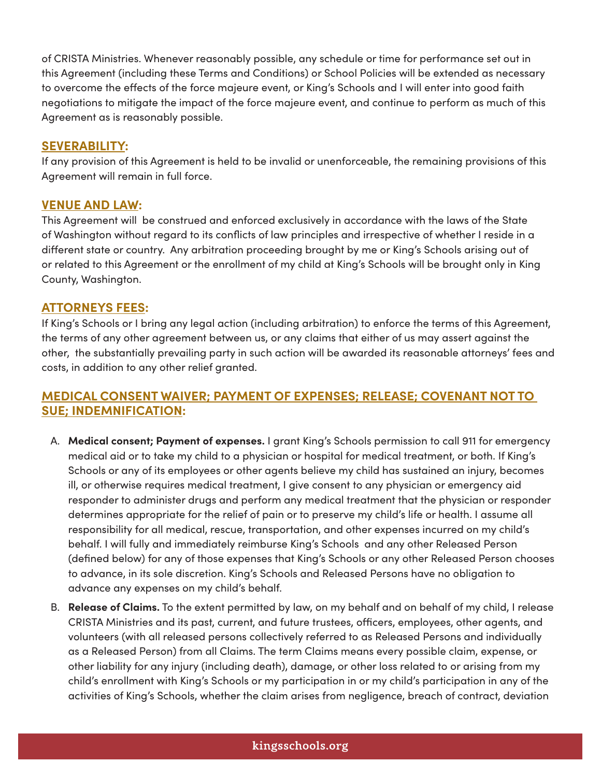of CRISTA Ministries. Whenever reasonably possible, any schedule or time for performance set out in this Agreement (including these Terms and Conditions) or School Policies will be extended as necessary to overcome the effects of the force majeure event, or King's Schools and I will enter into good faith negotiations to mitigate the impact of the force majeure event, and continue to perform as much of this Agreement as is reasonably possible.

# **SEVERABILITY:**

If any provision of this Agreement is held to be invalid or unenforceable, the remaining provisions of this Agreement will remain in full force.

# **VENUE AND LAW:**

This Agreement will be construed and enforced exclusively in accordance with the laws of the State of Washington without regard to its conflicts of law principles and irrespective of whether I reside in a different state or country. Any arbitration proceeding brought by me or King's Schools arising out of or related to this Agreement or the enrollment of my child at King's Schools will be brought only in King County, Washington.

### **ATTORNEYS FEES:**

If King's Schools or I bring any legal action (including arbitration) to enforce the terms of this Agreement, the terms of any other agreement between us, or any claims that either of us may assert against the other, the substantially prevailing party in such action will be awarded its reasonable attorneys' fees and costs, in addition to any other relief granted.

# **MEDICAL CONSENT WAIVER; PAYMENT OF EXPENSES; RELEASE; COVENANT NOT TO SUE; INDEMNIFICATION:**

- A. **Medical consent; Payment of expenses.** I grant King's Schools permission to call 911 for emergency medical aid or to take my child to a physician or hospital for medical treatment, or both. If King's Schools or any of its employees or other agents believe my child has sustained an injury, becomes ill, or otherwise requires medical treatment, I give consent to any physician or emergency aid responder to administer drugs and perform any medical treatment that the physician or responder determines appropriate for the relief of pain or to preserve my child's life or health. I assume all responsibility for all medical, rescue, transportation, and other expenses incurred on my child's behalf. I will fully and immediately reimburse King's Schools and any other Released Person (defined below) for any of those expenses that King's Schools or any other Released Person chooses to advance, in its sole discretion. King's Schools and Released Persons have no obligation to advance any expenses on my child's behalf.
- B. **Release of Claims.** To the extent permitted by law, on my behalf and on behalf of my child, I release CRISTA Ministries and its past, current, and future trustees, officers, employees, other agents, and volunteers (with all released persons collectively referred to as Released Persons and individually as a Released Person) from all Claims. The term Claims means every possible claim, expense, or other liability for any injury (including death), damage, or other loss related to or arising from my child's enrollment with King's Schools or my participation in or my child's participation in any of the activities of King's Schools, whether the claim arises from negligence, breach of contract, deviation